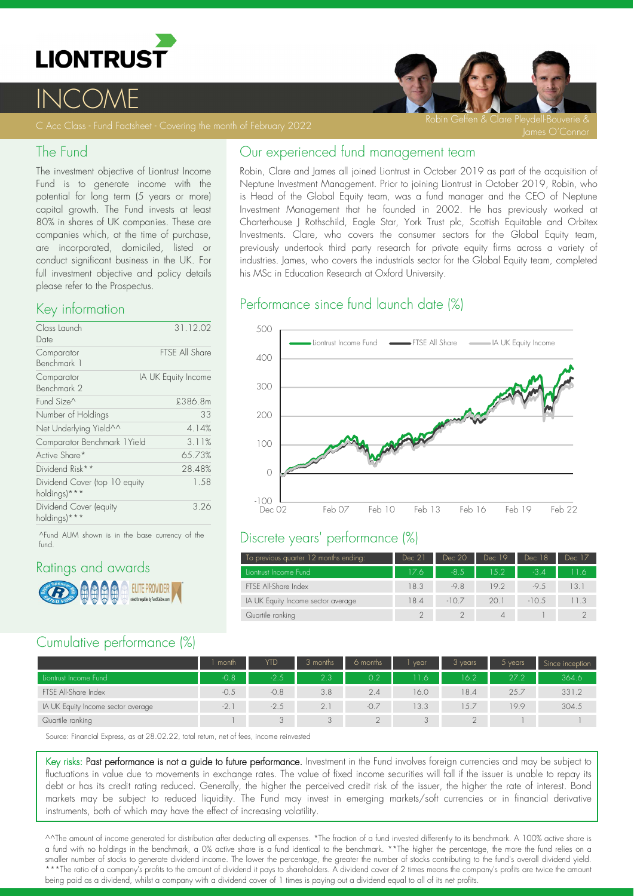

# <u>INCOME</u>

#### The Fund

The investment objective of Liontrust Income Fund is to generate income with the potential for long term (5 years or more) capital growth. The Fund invests at least 80% in shares of UK companies. These are companies which, at the time of purchase, are incorporated, domiciled, listed or conduct significant business in the UK. For full investment objective and policy details please refer to the Prospectus.

### Key information

| Class Launch                                  | 31.12.02            |
|-----------------------------------------------|---------------------|
| Date                                          |                     |
| Comparator                                    | FTSF All Share      |
| Benchmark 1                                   |                     |
| Comparator<br>Benchmark 2                     | IA UK Equity Income |
| Fund Size^                                    | £386.8m             |
| Number of Holdings                            | 33                  |
| Net Underlying Yield^^                        | 4.14%               |
| Comparator Benchmark 1 Yield                  | 3.11%               |
| Active Share*                                 | 65.73%              |
| Dividend Risk**                               | 28.48%              |
| Dividend Cover (top 10 equity<br>holdings)*** | 1.58                |
| Dividend Cover (equity<br>holdings)***        | 3.26                |

^Fund AUM shown is in the base currency of the fund.

## Ratings and awards



## Cumulative performance (%)

|  | Our experienced fund management team |
|--|--------------------------------------|
|  |                                      |

Robin, Clare and James all joined Liontrust in October 2019 as part of the acquisition of Neptune Investment Management. Prior to joining Liontrust in October 2019, Robin, who is Head of the Global Equity team, was a fund manager and the CEO of Neptune Investment Management that he founded in 2002. He has previously worked at Charterhouse J Rothschild, Eagle Star, York Trust plc, Scottish Equitable and Orbitex Investments. Clare, who covers the consumer sectors for the Global Equity team, previously undertook third party research for private equity firms across a variety of industries. James, who covers the industrials sector for the Global Equity team, completed his MSc in Education Research at Oxford University.

## Performance since fund launch date (%)



### Discrete years' performance (%)

| To previous quarter 12 months ending: | Dec 21 | Dec 20 | Dec 19 | Dec 18  | Dec 17 |
|---------------------------------------|--------|--------|--------|---------|--------|
| Liontrust Income Fund                 | 17.6   | $-8.5$ | 15.2   | $-3.4$  | 11 6   |
| FTSE All-Share Index                  | 18.3   | $-9.8$ | 19.2   | $-9.5$  | 13.1   |
| IA UK Equity Income sector average    | 18.4   | $-107$ | 20.1   | $-10.5$ | 11.3   |
| Quartile ranking                      |        |        |        |         |        |

|                                    | month  | YTD    | 3 months | 6 months  | vear  | 3 years | $5$ years | Since inception |
|------------------------------------|--------|--------|----------|-----------|-------|---------|-----------|-----------------|
| Liontrust Income Fund              | $-0.8$ | $-2.5$ | 2.3      | 0.2       | 11.6. | 16.2    | 27.2      | 364.6           |
| FTSE All-Share Index               | $-0.5$ | $-0.8$ | 3.8      | 2.4       | 16.0  | 18.4    | 25.7      | 331.2           |
| IA UK Equity Income sector average | $-2$ . | $-2.5$ | 2.1      |           | 13.3  | 15.7    | 19.9      | 304.5           |
| Quartile ranking                   |        |        |          | $\bigcap$ |       |         |           |                 |

Source: Financial Express, as at 28.02.22, total return, net of fees, income reinvested

Key risks: Past performance is not a guide to future performance. Investment in the Fund involves foreign currencies and may be subject to fluctuations in value due to movements in exchange rates. The value of fixed income securities will fall if the issuer is unable to repay its debt or has its credit rating reduced. Generally, the higher the perceived credit risk of the issuer, the higher the rate of interest. Bond markets may be subject to reduced liquidity. The Fund may invest in emerging markets/soft currencies or in financial derivative instruments, both of which may have the effect of increasing volatility.

^^The amount of income generated for distribution after deducting all expenses. \*The fraction of a fund invested differently to its benchmark. A 100% active share is a fund with no holdings in the benchmark, a 0% active share is a fund identical to the benchmark. \*\*The higher the percentage, the more the fund relies on a smaller number of stocks to generate dividend income. The lower the percentage, the greater the number of stocks contributing to the fund's overall dividend yield. \*\*\*The ratio of a company's profits to the amount of dividend it pays to shareholders. A dividend cover of 2 times means the company's profits are twice the amount being paid as a dividend, whilst a company with a dividend cover of 1 times is paying out a dividend equal to all of its net profits.